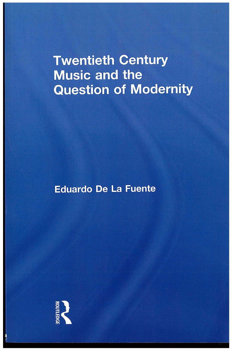**Twentieth Century Music and the Question of Modernity** 

**Eduardo De La Fuente** 

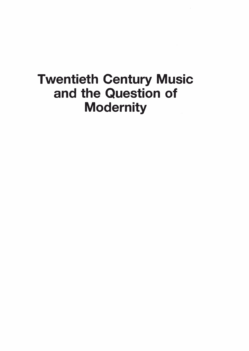# Twentieth Century Music and the Question of **Modernity**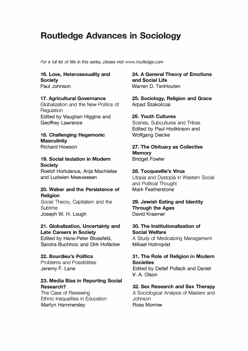# Routledge Advances in Sociology

For a full list of title in this series, please visit www.routledge.com

## 16. Love, Heterosexuality and **Society**

Paul Johnson

#### 17. Agricultural Governance

Globalization and the New Politics of **Regulation** Edited by Vaughan Higgins and Geoffrey Lawrence

## 18. Challenging Hegemonic **Masculinity**

Richard Howson

#### 19. Social Isolation in Modern **Society**

Roelof Hortulanus, Anja Machielse and Ludwien Meeuwesen

#### 20. Weber and the Persistence of Religion

Social Theory, Capitalism and the Sublime Joseph W. H. Lough

#### 21. Globalization, Uncertainty and Late Careers in Society Edited by Hans-Peter Blossfeld,

Sandra Buchholz and Dirk Hofäcker

#### 22. Bourdieu's Politics Problems and Possibilities Jeremy F. Lane

#### 23. Media Bias in Reporting Social Research?

The Case of Reviewing Ethnic Inequalities in Education Martyn Hammersley

#### 24. A General Theory of Emotions and Social Life Warren D. TenHouten

25. Sociology, Religion and Grace Arpad Szakolczai

#### 26. Youth Cultures

Scenes, Subcultures and Tribes Edited by Paul Hodkinson and Wolfgang Deicke

## 27. The Obituary as Collective **Memory**

Bridget Fowler

#### 28. Tocqueville's Virus

Utopia and Dystopia in Western Social and Political Thought Mark Featherstone

## 29. Jewish Eating and Identity Through the Ages

David Kraemer

#### 30. The Institutionalization of Social Welfare A Study of Medicalizing Management Mikael Holmqvist

#### 31. The Role of Religion in Modern **Societies**

Edited by Detlef Pollack and Daniel V. A. Olson

#### 32. Sex Research and Sex Therapy

A Sociological Analysis of Masters and Johnson Ross Morrow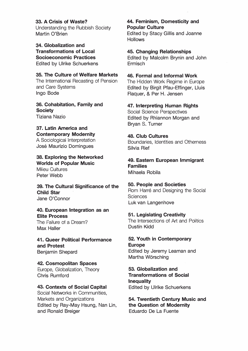#### 33. A Crisis of Waste?

Understanding the Rubbish Society Martin O'Brien

34. Globalization and Transformations of Local Socioeconomic Practices Edited by Ulrike Schuerkens

35. The Culture of Welfare Markets The International Recasting of Pension and Care Systems lngo Bode

36. Cohabitation, Family and **Society** Tiziana Nazio

37. Latin America and Contemporary Modernity A Sociological Interpretation Jose Maurizio Domingues

38. Exploring the Networked Worlds of Popular Music Milieu Cultures Peter Webb

39. The Cultural Significance of the Child Star Jane O'Connor

40. European Integration as an Elite Process The Failure of a Dream? Max Haller

41. Queer Political Performance and Protest Benjamin Shepard

42. Cosmopolitan Spaces Europe, Globalization, Theory Chris Rumford

#### 43. Contexts of Social Capital

Social Networks in Communities, Markets and Organizations Edited by Ray-May Hsung, Nan Lin, and Ronald Breiger

#### 44. Feminism, Domesticity and Popular Culture

Edited by Stacy Gillis and Joanne **Hollows** 

45. Changing Relationships

Edited by Malcolm Brynin and John Ermisch

#### 46. Formal and Informal Work

The Hidden Work Regime in Europe Edited by Birgit Pfau-Effinger, Lluis Flaquer, & Per H. Jensen

#### 47. Interpreting Human Rights

Social Science Perspectives Edited by Rhiannon Morgan and Bryan S. Turner

#### 48. Club Cultures

Boundaries, Identities and Otherness Silvia Rief

### 49. Eastern European Immigrant Families

Mihaela Robila

# 50. People and Societies

Rom Harre and Designing the Social **Sciences** Luk van Langenhove

#### 51. Legislating Creativity

The Intersections of Art and Politics Dustin Kidd

#### 52. Youth in Contemporary Europe

Edited by Jeremy Leaman and Martha Wörsching

53. Globalization and Transformations of Social **Inequality** Edited by Ulrike Schuerkens

54. Twentieth Century Music and the Question of Modernity Eduardo De La Fuente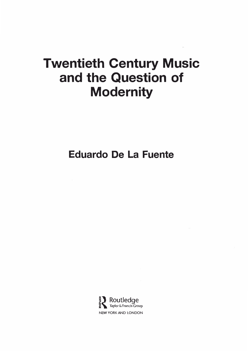# **Twentieth Century Music** and the Question of **Modernity**

**Eduardo De La Fuente** 

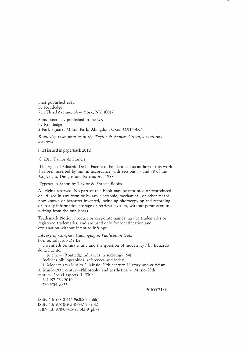First published 2011 by Routledge 711 ThirdAvenue, New York, NY 10017

Simultaneously published in the UK by Routledge 2 Park Square, Milton Park, Abingdon, Oxon OX14 4RN

Routledge is an imprint of the Taylor & Francis Group, an informa business

First issued in paperback 2012

© 2011 Taylor & Francis

The right of Eduardo De La Fuente to be identified as author of this work has been asserted by him in accordance with sections 77 and 78 of the Copyright, Designs and Patents Act 1988.

Typeset in Sabon by Taylor & Francis Books

All rights reserved. No part of this book may be reprinted or reproduced or utilised in any form or by any electronic, mechanical, or other means, now known or hereafter invented, including photocopying and recording, or in any information storage or retrieval system, without permission in writing from the publishers.

Trademark Notice: Product or corporate names may be trademarks or registered trademarks, and are used only for identification and explanation without intent to infringe.

Library of Congress Cataloging in Publication Data Fuente, Eduardo De La.

Twentieth century music and the question of modernity / by Eduardo de la Fuente.

p. cm. - (Routledge advances in sociology; 54)

Includes bibliographical references and index.

1. Modernism (Music) 2. Music-20th century-History and criticism. 3. Music-20th century-Philosophy and aesthetics. 4. Music-20th century-Social aspects. I. Title.

ML197.F86 2010 780.9'04-dc22

2010007189

ISBN 13: 978-0-415-96208-7 (hbk) ISBN 13: 978-0-203-84547-9 (ebk) ISBN 13: 978-0-415-81143-9(pbk)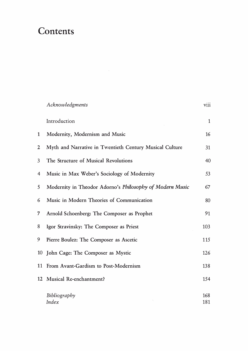# Contents

|                | Acknowledgments                                          | viii         |
|----------------|----------------------------------------------------------|--------------|
|                | Introduction                                             | $\mathbf{1}$ |
| $\mathbf{1}$   | Modernity, Modernism and Music                           | 16           |
| $\overline{2}$ | Myth and Narrative in Twentieth Century Musical Culture  | 31           |
| $\mathfrak{Z}$ | The Structure of Musical Revolutions                     | 40           |
| 4              | Music in Max Weber's Sociology of Modernity              | 53           |
| 5              | Modernity in Theodor Adorno's Philosophy of Modern Music | 67           |
| 6              | Music in Modern Theories of Communication                | 80           |
| $\overline{7}$ | Arnold Schoenberg: The Composer as Prophet               | 91           |
| 8              | Igor Stravinsky: The Composer as Priest                  | 103          |
| 9              | Pierre Boulez: The Composer as Ascetic                   | 115          |
| 10             | John Cage: The Composer as Mystic                        | 126          |
| 11             | From Avant-Gardism to Post-Modernism                     | 138          |
|                | 12 Musical Re-enchantment?                               | 154          |
|                | Bibliography<br>Index                                    | 168<br>181   |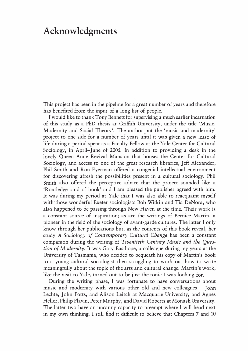# Acknowledgments

This project has been in the pipeline for a great number of years and therefore has benefited from the input of a long list of people.

I would like to thank Tony Bennett for supervising a much earlier incarnation of this study as a PhD thesis at Griffith University, under the title 'Music, Modernity and Social Theory'. The author put the 'music and modernity' project to one side for a number of years until it was given a new lease of life during a period spent as a Faculty Fellow at the Yale Center for Cultural Sociology, in April-June of 2005. In addition to providing a desk in the lovely Queen Anne Revival Mansion that houses the Center for Cultural Sociology, and access to one of the great research libraries, Jeff Alexander, Phil Smith and Ron Eyerman offered a congenial intellectual environment for discovering afresh the possibilities present in a cultural sociology. Phil Smith also offered the perceptive advice that the project sounded like a 'Routledge kind of book' and I am pleased the publisher agreed with him. It was during my period at Yale that I was also able to reacquaint myself with'those wonderful Exeter sociologists Bob Witkin and Tia DeNora, who also happened to be passing through New Haven at the time. Their work is a constant source of inspiration; as are the writings of Bernice Martin, a pioneer in the field of the sociology of avant-garde cultures. The latter I only know through her publications but, as the contents of this book reveal, her study A Sociology of Contemporary Cultural Change has been a constant companion during the writing of Twentieth Century Music and the Question of Modernity. It was Gary Easthope, a colleague during my years at the University of Tasmania, who decided to bequeath his copy of Martin's book to a young cultural sociologist then struggling to work out how to write meaningfully about the topic of the arts and cultural change. Martin's work, like the visit to Yale, turned out to be just the tonic I was looking for.

During the writing phase, I was fortunate to have conversations about music and modernity with various other old and new colleagues - John Lechte, John Potts, and Alison Leitch at Macquarie University; and Agnes Heller, Philip Flavin, Peter Murphy, and David Roberts at Monash University. The latter two have an uncanny capacity to preempt where I will head next in my own thinking. I still find it difficult to believe that Chapters 7 and 10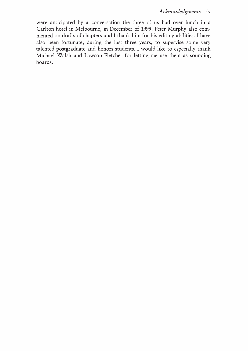were anticipated by a conversation the three of us had over lunch in a Carlton hotel in Melbourne, in December of 1999. Peter Murphy also commented on drafts of chapters and I thank him for his editing abilities. I have also been fortunate, during the last three years, to supervise some very talented postgraduate and honors students. I would like to especially thank Michael Walsh and Lawson Fletcher for letting me use them as sounding boards.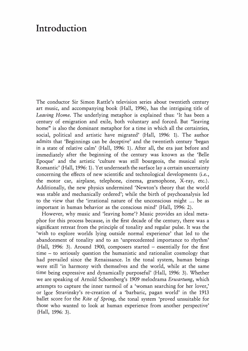# Introduction

The conductor Sir Simon Rattle's television series about twentieth century art music, and accompanying book (Hall, 1996), has the intriguing title of Leaving Home. The underlying metaphor is explained thus: 'It has been a century of emigration and exile, both voluntary and forced. But "leaving home" is also the dominant metaphor for a time in which all the certainties, social, political and artistic have migrated' (Hall, 1996: 1). The author admits that 'Beginnings can be deceptive' and the twentieth century 'began in a state of relative calm' (Hall, 1996: 1). After all, the era just before and immediately after the beginning of the century was known as the 'Belle Epoque' and the artistic 'culture was still bourgeois, the musical style Romantic' (Hall, 1996: 1). Yet underneath the surface lay a certain uncertainty concerning the effects of new scientific and technological developments (i.e. , the motor car, airplane, telephone, cinema, gramophone, X-ray, etc.). Additionally, the new physics undermined 'Newton's theory that the world was stable and mechanically ordered'; while the birth of psychoanalysis led to the view that the 'irrational nature of the unconscious might ... be as important in human behavior as the conscious mind' (Hall, 1996: 2).

However, why music and 'leaving home'? Music provides an ideal metaphor for this process because, in the first decade of the century, there was a significant retreat from the principle of tonality and regular pulse. It was the 'wish to explore worlds lying outside normal experience' that led to the abandonment of tonality and to an 'unprecedented importance to rhythm' (Hall, 1996: 3). Around 1900, composers started - essentially for the first time - to seriously question the humanistic and rationalist cosmology that had prevailed since the Renaissance. In the tonal system, human beings were still 'in harmony with themselves and the world, while at the same time being expressive and dynamically purposeful' (Hall, 1996: 3). Whether we are speaking of Arnold Schoenberg's 1909 melodrama Erwartung, which attempts to capture the inner turmoil of a 'woman searching for her lover,' or Igor Stravinsky's re-creation of a 'barbaric, pagan world' in the 1913 ballet score for the Rite of Spring, the tonal system 'proved unsuitable for those who wanted to look at human experience from another perspective' (Hall, 1996: 3).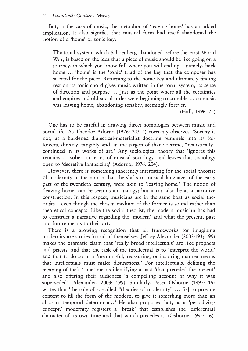But, in the case of music, the metaphor of 'leaving home' has an added implication. It also signifies that musical form had itself abandoned the notion of a 'home' or tonic key:

The tonal system, which Schoenberg abandoned before the First World War, is based on the idea that a piece of music should be like going on a journey, in which you know full where you will end up  $-$  namely, back home ... 'home' is the 'tonic' triad of the key that the composer has selected for the piece. Returning to the home key and ultimately finding rest on its tonic chord gives music written in the tonal system, its sense of direction and purpose ... Just as the point where all the certainties and empires and old social order were beginning to crumble ... so music was leaving home, abandoning tonality, seemingly forever.

(Hall, 1996: 25)

One has to be careful in drawing direct homologies between music and social life. As Theodor Adorno (1976: 203-4) correctly observes, 'Society is not, as a hardened dialectical-materialist doctrine pummels into its followers, directly, tangibly and, in the jargon of that doctrine, "realistically" continued in its works of art.' Any sociological theory that 'ignores this remains ... sober, in terms of musical sociology' and leaves that sociology open to 'decretive fantasizing' (Adorno, 1976: 204).

However, there is something inherently interesting for the social theorist of modernity in the notion that the shifts in musical language, of the early part of the twentieth century, were akin to 'leaving home.' The notion of 'leaving home' can be seen as an analogy; but it can also be as a narrative construction. In this respect, musicians are in the same boat as social theorists  $-$  even though the chosen medium of the former is sound rather than theoretical concepts. Like the social theorist, the modern musician has had to construct a narrative regarding the 'modern' and what the present, past and future means to their art.

There is a growing recognition that all frameworks for imagining modernity are stories in and of themselves. Jeffrey Alexander (2003:193; 199) makes the dramatic claim that 'really broad intellectuals' are like prophets and priests, and that the task of the intellectual is to 'interpret the world' and that to do so in a 'meaningful, reassuring, or inspiring manner means that intellectuals must make distinctions.' For intellectuals, defining the meaning of their 'time' means identifying a past 'that preceded the present' and also offering their audiences 'a compelling account of why it was superseded' (Alexander, 2003: 199). Similarly, Peter Osborne (1995: 16) writes that 'the role of so-called "theories of modernity" ... [is] to provide content to fill the form of the modern, to give it something more than an abstract temporal determinacy.' He also proposes that, as a 'periodizing concept,' modernity registers a 'break' that establishes the 'differential character of its own time and that which precedes it' (Osborne, 1995: 16).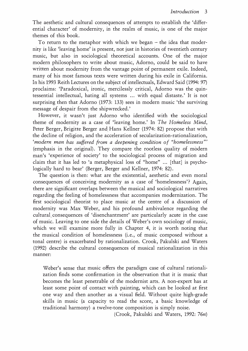The aesthetic and cultural consequences of attempts to establish the 'differential character' of modernity, in the realm of music, is one of the major themes of this book.

To return to the metaphor with which we began – the idea that modernity is like 'leaving home' is present, not just in histories of twentieth century music, but also in sociological theoretical accounts. One of the major modern philosophers to write about music, Adorno, could be said to have written about modernity from the vantage point of permanent exile. Indeed, many of his most famous texts were written during his exile in California. In his 1993 Reith Lectures on the subject of intellectuals, Edward Said (1994: 97) proclaims: 'Paradoxical, ironic, mercilessly critical, Adorno was the quintessential intellectual, hating all systems ... with equal distaste.' It is not surprising then that Adorno (1973: 133) sees in modern music 'the surviving message of despair from the shipwrecked.'

However, it wasn't just Adorno who identified with the sociological theme of modernity as a case of 'leaving home.' In The Homeless Mind, Peter Berger, Brigitte Berger and Hans Kellner (1974: 82) propose that with the decline of religion, and the acceleration of secularization-rationalization, 'modern man has suffered from a deepening condition of "homelessness"' (emphasis in the original). They compare the rootless quality of modern man's 'experience of society' to the sociological process of migration and claim that it has led to 'a metaphysical loss of "home" ... [that] is psychologically hard to bear' (Berger, Berger and Kellner, 1974: 82).

The question is then: what are the existential, aesthetic and even moral consequences of conceiving modernity as a case of 'homelessness'? Again, there are significant overlaps between the musical and sociological narratives regarding the feeling of homelessness that accompanies modernization. The first sociological theorist to place music at the centre of a discussion of modernity was Max Weber, and his profound ambivalence regarding the cultural. consequences of 'disenchantment' are particularly acute in the case of music. Leaving to one side the details of Weber's own sociology of music, which we will examine more fully in Chapter 4, it is worth noting that the musical condition of homelessness (i.e., of music composed without a tonal centre) is exacerbated by rationalization. Crook, Pakulski and Waters (1992) describe the cultural consequences of musical rationalization in this manner:

Weber's sense that music offers the paradigm case of cultural rationalization finds some confirmation in the observation that it is music that becomes the least penetrable of the modernist arts. A non-expert has at least some point of contact with painting, which can be looked at first one way and then another as a visual field. Without quite high-grade skills in music (a capacity to read the score, a basic knowledge of traditional harmony) a twelve-tone composition is simply noise.

(Crook, Pakulski and Waters, 1992: 76n)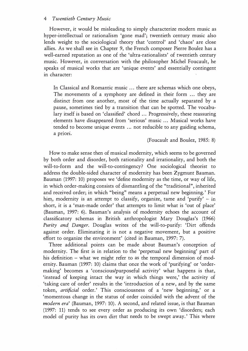However, it would be misleading to simply characterize modern music as hyper-intellectual or rationalism 'gone mad'; twentieth century music also lends weight to the sociological theory that 'control' and 'chaos' are close allies. As we shall see in Chapter 9, the French composer Pierre Boulez has a well-earned reputation as one of the 'ultra-rationalists' of twentieth century music. However, in conversation with the philosopher Michel Foucault, he speaks of musical works that are 'unique events' and essentially contingent in character:

In Classical and Romantic music ... there are schemas which one obeys, The movements of a symphony are defined in their form ... they are distinct from one another, most of the time actually separated by a pause, sometimes tied by a transition that can be spotted. The vocabulary itself is based on 'classified' chord ... Progressively, these reassuring elements have disappeared from 'serious' music ... Musical works have tended to become unique events ... not reducible to any guiding schema, a priori.

#### (Foucault and Boulez, 1985: 8)

How to make sense then of musical modernity, which seems to be governed by both order and disorder, both rationality and irrationality, and both the will-to-form and the will-to-contingency? One sociological theorist to address the double-sided character of modernity has been Zygmunt Bauman. Bauman (1997: 10) proposes we 'define modernity as the time, or way of life, in which order-making consists of dismantling of the "traditional", inherited and received order; in which "being" means a perpetual new beginning.' For him, modernity is an attempt to classify, organize, tame and 'purify'  $-$  in short, it is a 'man-made order' that attempts to limit what is 'out of place' (Bauman, 1997: 6). Bauman's analysis of modernity echoes the account of classificatory schemas in British anthropologist Mary Douglas's (1966) Purity and Danger. Douglas writes of the will-to-purify: 'Dirt offends against order. Eliminating it is not a negative movement, but a positive effort to organize the environment' (cited in Bauman, 1997: 7).

Three additional points can be made about Bauman's conception of modernity. The first is in relation to the 'perpetual new beginning' part of his definition – what we might refer to as the temporal dimension of modernity. Bauman (1997: 10) claims that once the work of 'purifying' or 'ordermaking' becomes a 'conscious/purposeful activity' what happens is that, 'instead of keeping intact the way in which things were,' the activity of 'taking care of order' results in the 'introduction of a new, and by the same token, artificial order.' This consciousness of a 'new beginning,' or a 'momentous change in the status of order coincided with the advent of the modern era' (Bauman, 1997: 10). A second, and related issue, is that Bauman (1997: 11) tends to see every order as producing its own 'disorders; each model of purity has its own dirt that needs to be swept away.' This where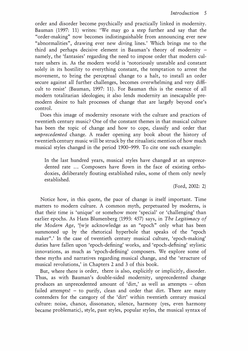order and disorder become psychically and practically linked in modernity. Bauman (1997: 11) writes: 'We may go a step further and say that the "order-making" now becomes indistinguishable from announcing ever new "abnormalities", drawing ever new diving lines.' Which brings me to the third and perhaps decisive element in Bauman's theory of modernity  $$ namely, the 'fantasies' regarding the need to impose order that modern culture ushers in. As the modern world is 'notoriously unstable and constant solely in its hostility to everything constant, the temptation to arrest the movement, to bring the perceptual change to a halt, to install an order secure against all further challenges, becomes overwhelming and very difficult to resist' (Bauman, 1997: 11). For Bauman this is the essence of all modern totalitarian ideologies; it also lends modernity an inescapable premodern desire to halt processes of change that are largely beyond one's control.

Does this image of modernity resonate with the culture and practices of twentieth century music? One of the constant themes in that musical culture has been the topic of change and how to cope, classify and order that unprecedented change. A reader opening any book about the history of twentieth century music will be struck by the ritualistic mention of how much musical styles changed in the period 1900-999. To cite one such example:

In the last hundred years, musical styles have changed at an unprecedented rate ... Composers have flown in the face of existing orthodoxies, deliberately flouting established rules, some of them only newly established.

(Ford, 2002: 2)

Notice how, in this quote, the pace of change is itself important. Time matters to modern culture. A common myth, perpetuated by moderns, is that their time is 'unique' or somehow more 'special' or 'challenging' than earlier epochs. As Hans Blumenberg (1993: 457) says, in The Legitimacy of the Modern Age, '(w]e acknowledge as an "epoch" only what has been summoned up by the rhetorical hyperbole that speaks of the "epoch maker".' In the case of twentieth century musical culture, 'epoch-making' duties have fallen upon 'epoch-defining' works, and 'epoch-defining' stylistic innovations, as much as 'epoch-defining' composers. We explore some of these myths and narratives regarding musical change, and the 'structure of musical revolutions,' in Chapters 2 and 3 of this book.

But, where there is order, there is also, explicitly or implicitly, disorder. Thus, as with Bauman's double-sided modernity, unprecedented change produces an unprecedented amount of 'dirt,' as well as attempts  $-$  often failed attempts!  $-$  to purify, clean and order that dirt. There are many contenders for the category of the 'dirt' within twentieth century musical culture: noise, chance, dissonance, silence, harmony (yes, even harmony became problematic), style, past styles, popular styles, the musical syntax of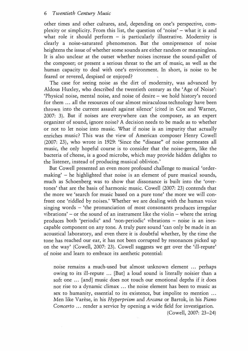other times and other cultures, and, depending on one's perspective, complexity or simplicity. From this list, the question of 'noise' - what it is and what role it should perform  $-$  is particularly illustrative. Modernity is clearly a noise-saturated phenomenon. But the omnipresence of noise heightens the issue of whether some sounds are either random or meaningless. It is also unclear at the outset whether noises increase the sound-pallet of the composer; or present a serious threat to the art of music, as well as the human capacity to deal with one's environment. In short, is noise to be feared or revered, despised or enjoyed?

The case for seeing noise as the dirt of modernity, was advanced by Aldous Huxley, who described the twentieth century as the 'Age of Noise': 'Physical noise, mental noise, and noise of desire - we hold history's record for them ... all the resources of our almost miraculous technology have been thrown into the current assault against silence' (cited in Cox and Warner, 2007: 3). But if noises are everywhere can the composer, as an expert organizer of sound, ignore noise? A decision needs to be made as to whether or not to let noise into music. What if noise is an impurity that actually enriches music? This was the view of American composer Henry Cowell (2007: 23), who wrote in 1929: 'Since the "disease" of noise permeates all music, the only hopeful course is to consider that the noise-germ, like the bacteria of cheese, is a good microbe, which may provide hidden delights to the listener, instead of producing musical oblivion.'

But Cowell presented an even more profound challenge to musical 'ordermaking' – he highlighted that noise is an element of pure musical sounds, much as Schoenberg was to show that dissonance is built into the 'overtones' that are the basis of harmonic music. Cowell (2007: 23) contends that the more we 'search for music based on a pure tone' the more we will confront one 'riddled by noises.' Whether we are dealing with the human voice singing words  $-$  'the pronunciation of most consonants produces irregular vibrations'  $-$  or the sound of an instrument like the violin  $-$  where the string produces both 'periodic' and 'non-periodic' vibrations – noise is an inescapable component on any tone. A truly pure sound 'can only be made in an acoustical laboratory, and even there it is doubtful whether, by the time the tone has reached our ear, it has not been corrupted by resonances picked up on the way' (Cowell, 2007: 23). Cowell suggests we get over the 'ill-repute' of noise and learn to embrace its aesthetic potential:

noise remains a much-used but almost unknown element ... perhaps owing to its ill-repute ... [But] a loud sound is literally noisier than a soft one .. . [and] music does not touch our emotional depths if it does not rise to a dynamic climax ... the noise element has been to music as sex to humanity, essential to its existence, but impolite to mention ... Men like Varèse, in his Hyperprism and Arcana or Bartok, in his Piano Concerto ... render a service by opening a wide field for investigation. (Cowell, 2007: 23-24)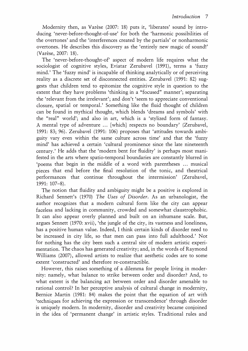Modernity then, as Varèse (2007: 18) puts it, 'liberates' sound by introducing 'never-before-thought-of-use' for both the 'harmonic possibilities of the overtones' and the 'interferences created by the partials' or nonharmonic overtones. He describes this discovery as the 'entirely new magic of sound!' (Varèse, 2007: 18).

The 'never-before-thought-of' aspect of modern life requires what the sociologist of cognitive styles, Eviatar Zerubavel (1991), terms a 'fuzzy mind.' The 'fuzzy mind' is incapable of thinking analytically or of perceiving reality as a discrete set of disconnected entities. Zerubavel (1991: 82) suggests that children tend to epitomize the cognitive style in question to the extent that they have problems 'thinking in a "focused" manner'; separating the 'relevant from the irrelevant'; and don't 'seem to appreciate conventional closure, spatial or temporal.' Something like the fluid thought of children can be found in mythical thought, which blends 'dreams and symbols' with the "real" world'; and also in art, which is a 'stylized form of fantasy. A mental type of adventure ... [which] respects no boundary' (Zerubavel, 1991: 83; 96). Zerubavel (1991: 106) proposes that 'attitudes towards ambiguity vary even within the same culture across time' and that the 'fuzzy mind' has achieved a certain 'cultural prominence since the late nineteenth century.' He adds that the 'modern bent for fluidity' is perhaps most·manifested in the arts where spatio-temporal boundaries are constantly blurred in 'poems that begin in the middle of a word with parentheses ... musical pieces that end before the final resolution of the tonic, and theatrical performances that continue throughout the intermission' (Zerubavel, 1991: 107-8).

The notion that fluidity and ambiguity might be a positive is explored in Richard Sennett's (1970) The Uses of Disorder. As an urbanologist, the author recognizes that a modern cultural form like the city can appear faceless and lacking in community, crowded and somewhat claustrophobic. It can also appear overly planned and built on an inhumane scale. But, argues Sennett (1970: xvii), 'the jungle of the city, its vastness and loneliness, has a positive human value. Indeed, I think certain kinds of disorder need to be increased in city life, so that men can pass into full adulthood.' Not for nothing has the city been such a central site of modern artistic experimentation. The chaos has generated creativity; and, in the words of Raymond Williams (2007), allowed artists to realize that aesthetic codes are to some extent 'constructed' and therefore re-constructible.

However, this raises something of a dilemma for people living in modernity: namely, what balance to strike between order and disorder? And, to what extent is the balancing act between order and disorder amenable to rational control? In her perceptive analysis of cultural change in modernity, Bernice Martin (1981: 84) makes the point that the equation of art with 'techniques for achieving the expression or transcendence' through disorder is uniquely modern. In modernity, disorder and creativity became conjoined in the idea of 'permanent change' in artistic styles. Traditional rules and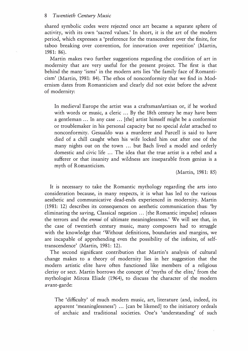shared symbolic codes were rejected once art became a separate sphere of activity, with its own 'sacred values.' In short, it is the art of the modern period, which expresses a 'preference for the transcendent over the finite, for taboo breaking over convention, for innovation over repetition' (Martin, 1981: 86).

Martin makes two further suggestions regarding the condition of art in modernity that are very useful for the present project. The first is that behind the many 'isms' in the modern arts lies 'the family face of Romanticism' (Martin, 1981: 84). The ethos of nonconformity that we find in Modernism dates from Romanticism and clearly did not exist before the advent of modernity:

In medieval Europe the artist was a craftsman/artisan or, if he worked with words or music, a cleric ... By the 18th century he may have been a gentleman ... In any case ... [the] artist himself might be a conformist or troublemaker in his personal capacity but no special *éclat* attached to nonconformity. Gesualdo was a murderer and Purcell is said to have died of a chill caught when his wife locked him out after one of the many nights out on the town ... but Bach lived a model and orderly domestic and civic life ... The idea that the true artist is a rebel and a sufferer or that insanity and wildness are inseparable from genius is a myth of Romanticism.

(Martin, 1981: 85)

It is necessary to take the Romantic mythology regarding the arts into consideration because, in many respects, it is what has led to the various aesthetic and communicative dead-ends experienced in modernity. Martin (1981: 12) describes its consequences on aesthetic communication thus: 'by eliminating the saving, Classical negation ... [the Romantic impulse] releases the terrors and the *ennui* of ultimate meaninglessness.' We will see that, in the case of twentieth century music, many composers had to struggle with the knowledge that 'Without definitions, boundaries and margins, we are incapable of apprehending even the possibility of the infinite, of selftranscendence' (Martin, 1981: 12).

The second significant contribution that Martin's analysis of cultural change makes to a theory of modernity lies in her suggestion that the modern artistic elite have often functioned like members of a religious clerisy or sect. Martin borrows the concept of 'myths of the elite,' from the mythologist Mircea Eliade (1964), to discuss the character of the modern avant-garde:

The 'difficulty' of much modern music, art, literature (and, indeed, its apparent 'meaninglessness') ... [can be likened] to the initiatory ordeals of archaic and traditional societies. One's 'understanding' of such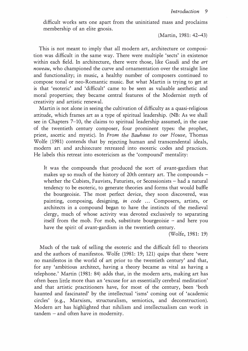difficult works sets one apart from the uninitiated mass and proclaims membership of an elite gnosis.

(Martin, 1981: 42-43)

This is not meant to imply that all modern art, architecture or composition was difficult in the same way. There were multiple 'sects' in existence within each field. In architecture, there were those, like Gaudi and the art noveau, who championed the curve and ornamentation over the straight line and functionality; in music, a healthy number of composers continued to compose tonal or neo-Romantic music. But what Martin is trying to get at is that 'esoteric' and 'difficult' came to be seen as valuable aesthetic and moral properties; they became central features of the Modernist myth of creativity and artistic renewal.

Martin is not alone in seeing the cultivation of difficulty as a quasi-religious attitude, which frames art as a type of spiritual leadership. (NB: As we shall see in Chapters 7-10, the claims to spiritual leadership assumed, in the case of the twentieth century composer, four prominent types: the prophet, priest, ascetic and mystic). In From the Bauhaus to our House, Thomas Wolfe (1981) contends that by rejecting human and transcendental ideals, modern art and architecture retreated into esoteric codes and practices. He labels this retreat into esotericism as the 'compound' mentality:

It was the compounds that produced the sort of avant-gardism that makes up so much of the history of 20th century art. The compounds whether the Cubists, Fauvists, Futurists, or Secessionists - had a natural tendency to be esoteric, to generate theories and forms that would baffle the bourgeoisie. The most perfect device, they soon discovered, was painting, composing, designing, in code ... Composers, artists, or architects in a compound began to have the instincts of the medieval clergy, much of whose activity was devoted exclusively to separating itself from the mob. For mob, substitute bourgeoisie - and here you have the spirit of avant-gardism in the twentieth century.

(Wolfe, 1981: 19)

Much of the task of selling the esoteric and the difficult fell to theorists and the authors of manifestos. Wolfe (1981: 19; 121) quips that there 'were no manifestos in the world of art prior to the twentieth century' and that, for any 'ambitious architect, having a theory became as vital as having a telephone.' Martin (1981: 84) adds that, in the modern arts, making art has often been little more than an 'excuse for an essentially cerebral meditation' and that artistic practitioners have, for most of the century, been 'both haunted and fascinated' by the intellectual 'isms' coming out of 'academic circles' (e.g., Marxism, structuralism, semiotics, and deconstruction). Modern art has highlighted that nihilism and intellectualism can work in tandem - and often have in modernity.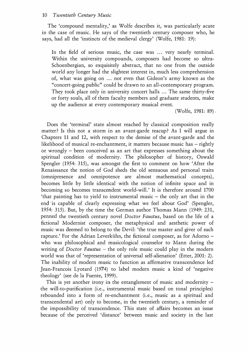The 'compound mentality,' as Wolfe describes it, was particularly acute in the case of music. He says of the twentieth century composer who, he says, had all the 'instincts of the medieval clergy' (Wolfe, 1981: 19):

In the field of serious music, the case was ... very nearly terminal. Within the university compounds, composers had become so ultra-Schoenbergian, so exquisitely abstract, that no one from the outside world any longer had the slightest interest in, much less comprehension of, what was going on ... not even that Gideon's army known as the "concert-going public" could be drawn to an all-contemporary program. They took place only in university concert halls ... The same thirty-five or forty souls, all of them faculty members and graduate students, make up the audience at every contemporary musical event.

(Wolfe, 1981: 89) -

Does the 'terminal' state almost reached by classical composition really matter? Is this not a storm in an avant-garde teacup? As I will argue in Chapters 11 and 12, with respect to the demise of the avant-garde and the likelihood of musical re-enchantment, it matters because music has  $-$  rightly or wrongly - been conceived as an art that expresses something about the spiritual condition of modernity. The philosopher of history, Oswald Spengler (1954: 315), was amongst the first to comment on how 'After the Renaissance the notion of God sheds the old sensuous and personal traits (omnipresence and omnipotence are almost mathematical concepts), becomes little by little identical with the notion of infinite space and in becoming so becomes transcendent world-will.' It is therefore around 1700 'that painting has to yield to instrumental music  $-$  the only art that in the end-is capable of clearly expressing what we feel about God' (Spengler, 1954: 315). But, by the time the German author Thomas Mann (1949: 231, penned the twentieth century novel Doctor Faustus, based on the life of a fictional Modernist composer, the metaphysical and aesthetic power of music was deemed to belong to the Devil: 'the true master and giver of such rapture.' For the Adrian Leverkühn, the fictional composer, as for Adorno who was philosophical and musicological counselor to Mann during the writing of *Doctor Faustus*  $-$  the only role music could play in the modern world was that of 'representation of universal self-alienation' (Etter, 2001: 2). The inability of modern music to function as affirmative transcendence led Jean-Francois Lyotard (1974) to label modern music a kind of 'negative theology' (see de la Fuente, 1999).

This is yet another irony in the entanglement of music and modernity the will-to-purification (i.e., instrumental music based on tonal principles) rebounded into a form of re-enchantment (i.e., music as a spiritual and transcendental art) only to become, in the twentieth century, a reminder of the impossibility of transcendence. This state of affairs becomes an issue because of the perceived 'distance' between music and society in the last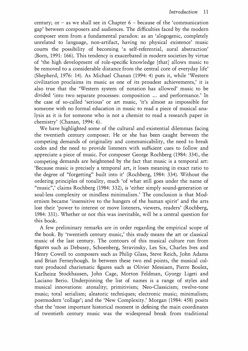century; or  $-$  as we shall see in Chapter  $6 -$  because of the 'communication' gap' between composers and audiences. The difficulties faced by the modern composer stem from a fundamental paradox: as an 'alogogenic, completely unrelated to language, non-artifact, having no physical existence' music courts the possibility of becoming 'a self-referential, aural abstraction' (Born, 1991: 166). This tendency is exacerbated in modern societies by virtue of 'the high development of role-specific knowledge [that] allows music to be removed to a considerable distance from the central core of everyday life' (Shepherd, 1976: 14). As Michael Chanan (1994: 4) puts it, while 'Western civilization proclaims its music as one of its proudest achievements,' it is also true that the 'Western system of notation has allowed' music to be divided 'into two separate processes: composition ... and performance.' In the case of so-called 'serious' or art music, 'it's almost as impossible for someone with no formal education in music to read a piece of musical analysis as it is for someone who is not a chemist to read a research paper in chemistry' (Chanan, 1994: 6).

We have highlighted some of the cultural and existential dilemmas facing the twentieth century composer. He or she has been caught between the competing demands of originality and communicability, the need to break codes and the need to provide listeners with sufficient cues to follow and appreciate a piece of music. For composer George Rochberg (1984: 334), the competing demands are heightened by the fact that music is a temporal art: 'Because music is precisely a temporal art, it loses meaning in exact ratio to the degree of "forgetting" built into it' (Rochberg, 1984: 334). Without the ordering principles of tonality, much 'of what still goes under the name of "music",' claims Rochberg (1984: 332), is 'either simply sound-generation or soul-less complexity or mindless minimalism.' The conclusion is that Modernism became 'insensitive to the hungers of the human spirit' and the arts lost their 'power to interest or move listeners, viewers, readers' (Rochberg, 1984: 331). Whether or not this was inevitable, will be a central question for this book.

A few preliminary remarks are in order regarding the empirical scope of the book. By 'twentieth century music,' this study means the art or classical music of the last century. The contours of this musical culture run from figures such as Debussy, Schoenberg, Stravinsky, Les Six, Charles Ives and Henry Cowell to composers such as Philip Glass, Steve Reich, John Adams and Brian Ferneyhough. In between these two end points, the musical culture produced charismatic figures such as Olivier Messiaen, Pierre Boulez, Karlheinz Stockhausen, John Cage, Morton Feldman, Gyorgy Ligeti and Luciano Berio. Underpinning the list of names is a range of styles and musical innovations: atonality; primitivism; Neo-Classicism; twelve-tone music; total serialism; aleatoric techniques; electronic music; minimalism; postmodern 'collage'; and the 'New Complexity.' Morgan (1984: 458) posits that the 'most important historical moment in defining the main coordinates of twentieth century music was the widespread break from traditional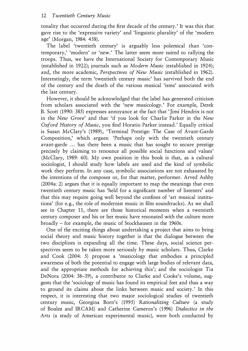tonality that occurred during the first decade of the century.' It was this that gave rise to the 'expressive variety' and 'linguistic plurality' of the 'modern age' (Morgan, 1984: 458).

The label 'twentieth century' is arguably less polemical than 'contemporary,' 'modern' or 'new.' The latter seem more suited to rallying the troops. Thus, we have the International Society for Contemporary Music (established in 1922); journals such as Modern Music (established in 1924); and, the more academic, Perspectives of New Music (established in 1962). Interestingly, the term 'twentieth century music' has survived both the end of the century and the death of the various musical 'isms' associated with the last century.

However, it should be acknowledged that the label has generated criticism from scholars associated with the 'new musicology.' For example, Derek B. Scott (1990: 385) expresses annoyance at the fact that 'Jimi Hendrix is not in the New Grove' and that 'if you look for Charlie Parker in the New Oxford History of Music, you find Horatio Parker instead.' Equally critical is Susan McClary's (1989), 'Terminal Prestige: The Case of Avant-Garde Composition,' which argues: 'Perhaps only with the twentieth century avant-garde ... has there been a music that has sought to secure prestige precisely by claiming to renounce all possible social functions and values' (McClary, 1989: 60). My own position in this book is that, as a cultural sociologist, I should study how labels are used and the kind of symbolic work they perform. In any case, symbolic associations are not exhausted by the intentions of the composer or, for that matter, performer. Arved Ashby (2004a: 2) argues that it is equally important to map the meanings that even twentieth century music has 'held for a significant number of listeners' and that this may require going well beyond the confines of 'art musical institutions' (for e.g., the role of modernist music in film soundtracks). As we shall see in Chapter 11, there are those historical moments when a twentieth century composer and his or her music have resonated with the culture more broadly - for example, the music of Stockhausen in the 1960s.

One of the exciting things about undertaking a project that aims to bring social theory and music history together is that the dialogue between the two disciplines is expanding all the time. These days, social science perspectives seem to be taken more seriously by music scholars. Thus, Clarke and Cook (2004: 5) propose a 'musicology that embodies a principled awareness of both the potential to engage with large bodies of relevant data, and the appropriate methods for achieving this'; and the sociologist Tia DeNora (2004: 38-39) , a contributor to Clarke and Cooke's volume, suggests that the 'sociology of music has found its empirical feet and thus a way to ground its claims about the links between music and society.' In this respect, it is interesting that two major sociological studies of twentieth century music, Georgina Born's (1995) Rationalizing Culture (a study of Boulez and IRCAM) and Catherine Cameron's (1996) Dialectics in the Arts (a study of American experimental music), were both conducted by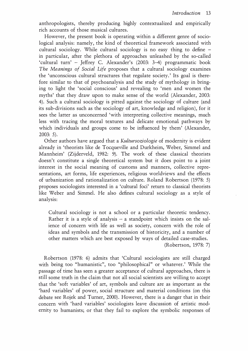anthropologists, thereby producing highly contextualized and empirically rich accounts of those musical cultures.

However, the present book is operating within a different genre of sociological analysis: namely, the kind of theoretical framework associated with cultural sociology. While cultural sociology is no easy thing to define  $$ in particular, after the plethora of approaches unleashed by the so-called 'cultural turn' - Jeffrey C. Alexander's (2003: 3-4) programmatic book The Meanings of Social Life proposes that a cultural sociology examines the 'unconscious cultural structures that regulate society.' Its goal is therefore similar to that of psychoanalysis and the study of mythology in bringing to light the 'social conscious' and revealing to 'men and women the myths' that they draw upon to make sense of the world (Alexander, 2003: 4). Such a cultural sociology is pitted against the sociology of culture (and its sub-divisions such as the sociology of art, knowledge and religion), for it sees the latter as unconcerned 'with interpreting collective meanings, much less with tracing the moral textures and delicate emotional pathways by which individuals and groups come to be influenced by them' (Alexander, 2003: 5).

Other authors have argued that a Kultursoziologie of modernity is evident already in 'theorists like de Tocqueville and Durkheim, Weber, Simmel and Mannheim' (Zijderveld, 1982: 9). The work of these classical theorists doesn't constitute a single theoretical system but it does point to a joint interest in the social meaning of customs and manners, collective representations, art forms, life experiences, religious worldviews and the effects of urbanization and rationalization on culture. Roland Robertson (1978: 5) proposes sociologists interested in a 'cultural foci' return to classical theorists like Weber and Simmel. He also defines cultural sociology as a style of analysis:

Cultural sociology is not a school or a particular theoretic tendency. Rather it is a style of analysis  $-$  a standpoint which insists on the salience of concern with life as well as society, concern with the role of ideas and symbols and the transmission of historicity, and a number of other matters which are best exposed by ways of detailed case-studies. (Robertson, 1978: 7)

Robertson (1978: 6) admits that 'Cultural sociologists are still charged with being too "humanistic", too "philosophical" or whatever.' While the passage of time has seen a greater acceptance of cultural approaches, there is still some truth in the claim that not all social scientists are willing to accept that the 'soft variables' of art, symbols and culture are as important as the 'hard variables' of power, social structure and material conditions (on this debate see Rojek and Turner, 2000). However, there is a danger that in their concern with 'hard variables' sociologists leave discussion of artistic modernity to humanists; or that they fail to explore the symbolic responses of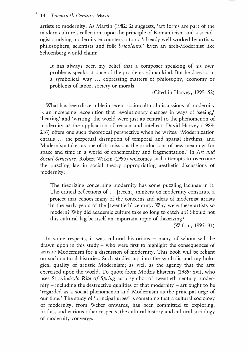artists to modernity. As Martin (1982: 2) suggests, 'art forms are part of the modern culture's reflection' upon the principle of Romanticism and a sociologist studying modernity encounters a topic 'already well worked by artists, philosophers, scientists and folk bricoleurs.' Even an arch-Modernist like Schoenberg would claim:

It has always been my belief that a composer speaking of his own problems speaks at once of the problems of mankind. But he does so in a symbolical way ... expressing matters of philosophy, economy or problems of labor, society or morals.

(Cited in Harvey, 1999: 52)

What has been discernible in recent socio-cultural discussions of modernity is an increasing recognition that revolutionary changes in ways of 'seeing,' 'hearing' and 'writing' the world were just as central to the phenomenon of modernity as the application of reason and intellect. David Harvey (1989: 216) offers one such theoretical perspective when he writes: 'Modernization entails ... the perpetual disruption of temporal and spatial rhythms, and Modernism takes as one of its missions the productions of new meanings for space and time in a world of ephemerality and fragmentation.' In Art and Social Structure, Robert Witkin (1995) welcomes such attempts to overcome the puzzling lag in social theory appropriating aesthetic discussions of modernity:

The theorizing concerning modernity has some puzzling lacunae in it. The critical reflections of ... [recent] thinkers on modernity constitute a project that echoes many of the concerns and ideas of modernist artists in the early years of the [twentieth] century. Why were these artists so modern? Why did academic culture take so long to catch up? Should not this cultural lag be itself an important topic of theorizing?

(Witkin, 1995: 31)

In some respects, it was cultural historians  $-$  many of whom will be drawn upon in this study  $-$  who were first to highlight the consequences of artistic Modernism for a discussion of modernity. This book will be reliant on such cultural histories. Such studies tap into the symbolic and mythological quality of artistic Modernism; as well as the agency that the arts exercised upon the world. To quote from Modris Eksteins (1989: xvi), who uses Stravinsky's Rite of Spring as a symbol of twentieth century modernity  $-$  including the destructive qualities of that modernity  $-$  art ought to be 'regarded as a social phenomenon and Modernism as the principal urge of our time.' The study of 'principal urges' is something that a cultural sociology of modernity, from Weber onwards, has been committed to exploring. In this, and various other respects, the cultural history and cultural sociology of modernity converge.